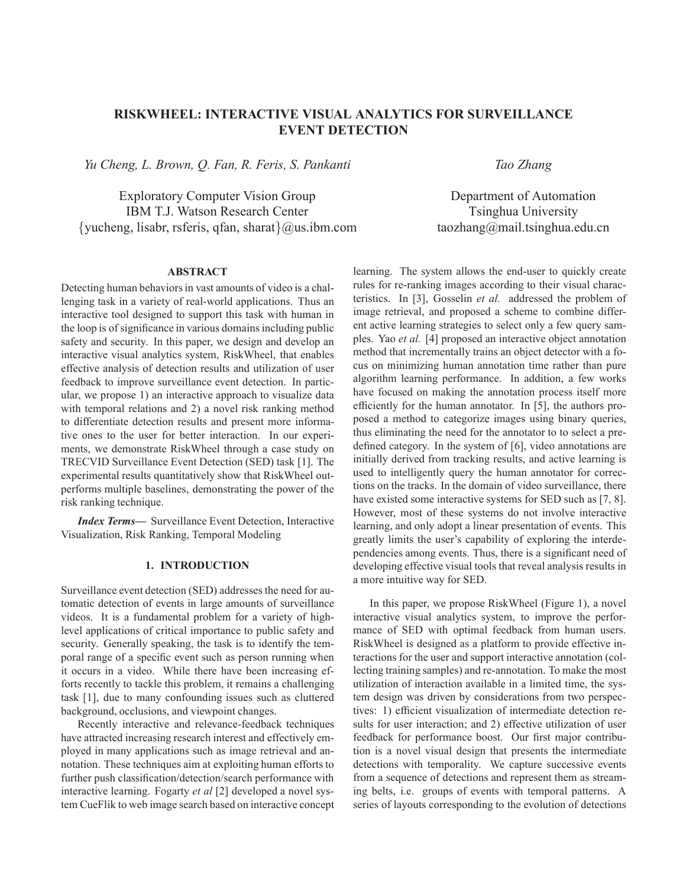# **RISKWHEEL: INTERACTIVE VISUAL ANALYTICS FOR SURVEILLANCE EVENT DETECTION**

*Yu Cheng, L. Brown, Q. Fan, R. Feris, S. Pankanti*

Exploratory Computer Vision Group IBM T.J. Watson Research Center {yucheng, lisabr, rsferis, qfan, sharat}@us.ibm.com *Tao Zhang*

Department of Automation Tsinghua University taozhang@mail.tsinghua.edu.cn

# **ABSTRACT**

Detecting human behaviors in vast amounts of video is a challenging task in a variety of real-world applications. Thus an interactive tool designed to support this task with human in the loop is of significance in various domains including public safety and security. In this paper, we design and develop an interactive visual analytics system, RiskWheel, that enables effective analysis of detection results and utilization of user feedback to improve surveillance event detection. In particular, we propose 1) an interactive approach to visualize data with temporal relations and 2) a novel risk ranking method to differentiate detection results and present more informative ones to the user for better interaction. In our experiments, we demonstrate RiskWheel through a case study on TRECVID Surveillance Event Detection (SED) task [1]. The experimental results quantitatively show that RiskWheel outperforms multiple baselines, demonstrating the power of the risk ranking technique.

*Index Terms***—** Surveillance Event Detection, Interactive Visualization, Risk Ranking, Temporal Modeling

# **1. INTRODUCTION**

Surveillance event detection (SED) addresses the need for automatic detection of events in large amounts of surveillance videos. It is a fundamental problem for a variety of highlevel applications of critical importance to public safety and security. Generally speaking, the task is to identify the temporal range of a specific event such as person running when it occurs in a video. While there have been increasing efforts recently to tackle this problem, it remains a challenging task [1], due to many confounding issues such as cluttered background, occlusions, and viewpoint changes.

Recently interactive and relevance-feedback techniques have attracted increasing research interest and effectively employed in many applications such as image retrieval and annotation. These techniques aim at exploiting human efforts to further push classification/detection/search performance with interactive learning. Fogarty *et al* [2] developed a novel system CueFlik to web image search based on interactive concept learning. The system allows the end-user to quickly create rules for re-ranking images according to their visual characteristics. In [3], Gosselin *et al.* addressed the problem of image retrieval, and proposed a scheme to combine different active learning strategies to select only a few query samples. Yao *et al.* [4] proposed an interactive object annotation method that incrementally trains an object detector with a focus on minimizing human annotation time rather than pure algorithm learning performance. In addition, a few works have focused on making the annotation process itself more efficiently for the human annotator. In [5], the authors proposed a method to categorize images using binary queries, thus eliminating the need for the annotator to to select a predefined category. In the system of [6], video annotations are initially derived from tracking results, and active learning is used to intelligently query the human annotator for corrections on the tracks. In the domain of video surveillance, there have existed some interactive systems for SED such as [7, 8]. However, most of these systems do not involve interactive learning, and only adopt a linear presentation of events. This greatly limits the user's capability of exploring the interdependencies among events. Thus, there is a significant need of developing effective visual tools that reveal analysis results in a more intuitive way for SED.

In this paper, we propose RiskWheel (Figure 1), a novel interactive visual analytics system, to improve the performance of SED with optimal feedback from human users. RiskWheel is designed as a platform to provide effective interactions for the user and support interactive annotation (collecting training samples) and re-annotation. To make the most utilization of interaction available in a limited time, the system design was driven by considerations from two perspectives: 1) efficient visualization of intermediate detection results for user interaction; and 2) effective utilization of user feedback for performance boost. Our first major contribution is a novel visual design that presents the intermediate detections with temporality. We capture successive events from a sequence of detections and represent them as streaming belts, i.e. groups of events with temporal patterns. A series of layouts corresponding to the evolution of detections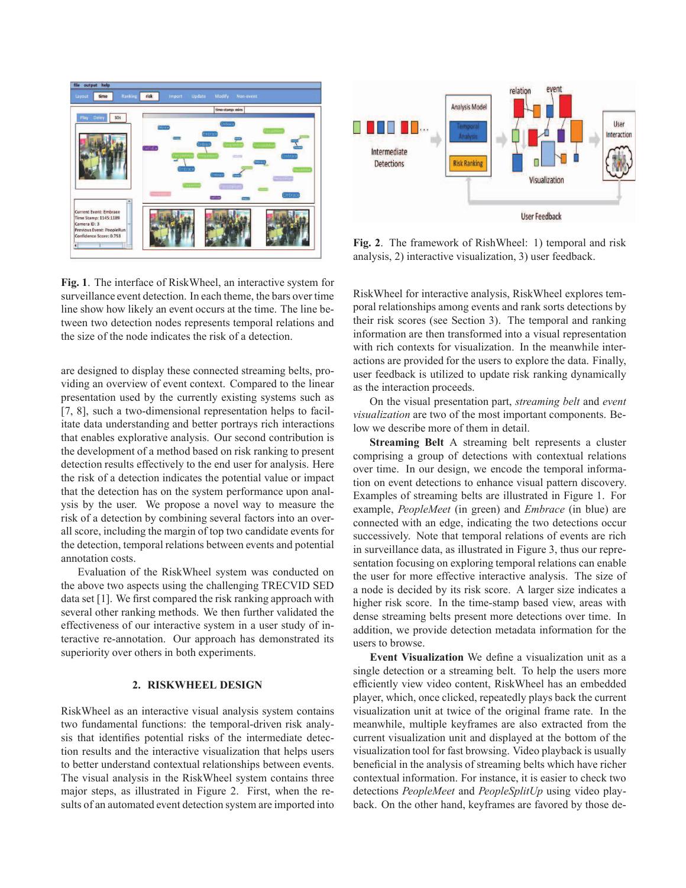

**Fig. 1**. The interface of RiskWheel, an interactive system for surveillance event detection. In each theme, the bars over time line show how likely an event occurs at the time. The line between two detection nodes represents temporal relations and the size of the node indicates the risk of a detection.

are designed to display these connected streaming belts, providing an overview of event context. Compared to the linear presentation used by the currently existing systems such as [7, 8], such a two-dimensional representation helps to facilitate data understanding and better portrays rich interactions that enables explorative analysis. Our second contribution is the development of a method based on risk ranking to present detection results effectively to the end user for analysis. Here the risk of a detection indicates the potential value or impact that the detection has on the system performance upon analysis by the user. We propose a novel way to measure the risk of a detection by combining several factors into an overall score, including the margin of top two candidate events for the detection, temporal relations between events and potential annotation costs.

Evaluation of the RiskWheel system was conducted on the above two aspects using the challenging TRECVID SED data set [1]. We first compared the risk ranking approach with several other ranking methods. We then further validated the effectiveness of our interactive system in a user study of interactive re-annotation. Our approach has demonstrated its superiority over others in both experiments.

# **2. RISKWHEEL DESIGN**

RiskWheel as an interactive visual analysis system contains two fundamental functions: the temporal-driven risk analysis that identifies potential risks of the intermediate detection results and the interactive visualization that helps users to better understand contextual relationships between events. The visual analysis in the RiskWheel system contains three major steps, as illustrated in Figure 2. First, when the results of an automated event detection system are imported into



**Fig. 2**. The framework of RishWheel: 1) temporal and risk analysis, 2) interactive visualization, 3) user feedback.

RiskWheel for interactive analysis, RiskWheel explores temporal relationships among events and rank sorts detections by their risk scores (see Section 3). The temporal and ranking information are then transformed into a visual representation with rich contexts for visualization. In the meanwhile interactions are provided for the users to explore the data. Finally, user feedback is utilized to update risk ranking dynamically as the interaction proceeds.

On the visual presentation part, *streaming belt* and *event visualization* are two of the most important components. Below we describe more of them in detail.

**Streaming Belt** A streaming belt represents a cluster comprising a group of detections with contextual relations over time. In our design, we encode the temporal information on event detections to enhance visual pattern discovery. Examples of streaming belts are illustrated in Figure 1. For example, *PeopleMeet* (in green) and *Embrace* (in blue) are connected with an edge, indicating the two detections occur successively. Note that temporal relations of events are rich in surveillance data, as illustrated in Figure 3, thus our representation focusing on exploring temporal relations can enable the user for more effective interactive analysis. The size of a node is decided by its risk score. A larger size indicates a higher risk score. In the time-stamp based view, areas with dense streaming belts present more detections over time. In addition, we provide detection metadata information for the users to browse.

**Event Visualization** We define a visualization unit as a single detection or a streaming belt. To help the users more efficiently view video content, RiskWheel has an embedded player, which, once clicked, repeatedly plays back the current visualization unit at twice of the original frame rate. In the meanwhile, multiple keyframes are also extracted from the current visualization unit and displayed at the bottom of the visualization tool for fast browsing. Video playback is usually beneficial in the analysis of streaming belts which have richer contextual information. For instance, it is easier to check two detections *PeopleMeet* and *PeopleSplitUp* using video playback. On the other hand, keyframes are favored by those de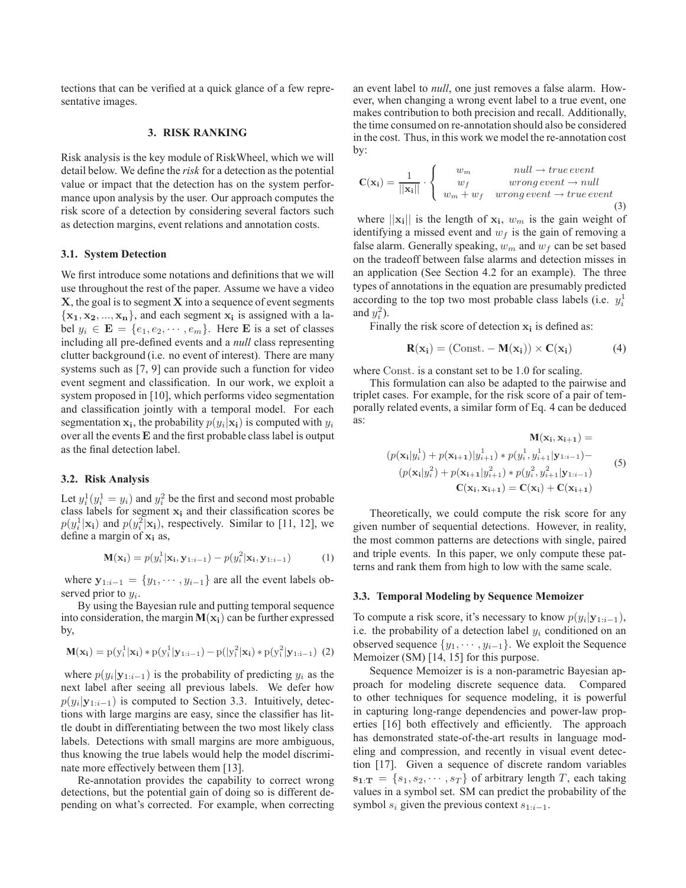tections that can be verified at a quick glance of a few representative images.

#### **3. RISK RANKING**

Risk analysis is the key module of RiskWheel, which we will detail below. We define the *risk* for a detection as the potential value or impact that the detection has on the system performance upon analysis by the user. Our approach computes the risk score of a detection by considering several factors such as detection margins, event relations and annotation costs.

# **3.1. System Detection**

We first introduce some notations and definitions that we will use throughout the rest of the paper. Assume we have a video **X**, the goal is to segment **X** into a sequence of event segments  ${x_1, x_2, ..., x_n}$ , and each segment  $x_i$  is assigned with a label  $y_i \in \mathbf{E} = \{e_1, e_2, \dots, e_m\}$ . Here **E** is a set of classes including all pre-defined events and a *null* class representing clutter background (i.e. no event of interest). There are many systems such as [7, 9] can provide such a function for video event segment and classification. In our work, we exploit a system proposed in [10], which performs video segmentation and classification jointly with a temporal model. For each segmentation  $\mathbf{x}_i$ , the probability  $p(y_i|\mathbf{x}_i)$  is computed with  $y_i$ over all the events **E** and the first probable class label is output as the final detection label.

# **3.2. Risk Analysis**

Let  $y_i^1(y_i^1 = y_i)$  and  $y_i^2$  be the first and second most probable class labels for segment **x<sup>i</sup>** and their classification scores be  $p(y_i^1 | \mathbf{x_i})$  and  $p(y_i^2 | \mathbf{x_i})$ , respectively. Similar to [11, 12], we define a margin of **x<sup>i</sup>** as,

$$
\mathbf{M}(\mathbf{x_i}) = p(y_i^1 | \mathbf{x_i}, \mathbf{y_{1:i-1}}) - p(y_i^2 | \mathbf{x_i}, \mathbf{y_{1:i-1}})
$$
(1)

where  $\mathbf{y}_{1:i-1} = \{y_1, \dots, y_{i-1}\}\$  are all the event labels observed prior to  $y_i$ .

By using the Bayesian rule and putting temporal sequence into consideration, the margin  $M(x_i)$  can be further expressed by,

$$
\mathbf{M}(\mathbf{x_i}) = p(y_i^1|\mathbf{x_i}) * p(y_i^1|\mathbf{y}_{1:i-1}) - p(|y_i^2|\mathbf{x_i}) * p(y_i^2|\mathbf{y}_{1:i-1})
$$
 (2)

where  $p(y_i|\mathbf{y}_{1:i-1})$  is the probability of predicting  $y_i$  as the next label after seeing all previous labels. We defer how  $p(y_i|\mathbf{y}_{1:i-1})$  is computed to Section 3.3. Intuitively, detections with large margins are easy, since the classifier has little doubt in differentiating between the two most likely class labels. Detections with small margins are more ambiguous, thus knowing the true labels would help the model discriminate more effectively between them [13].

Re-annotation provides the capability to correct wrong detections, but the potential gain of doing so is different depending on what's corrected. For example, when correcting an event label to *null*, one just removes a false alarm. However, when changing a wrong event label to a true event, one makes contribution to both precision and recall. Additionally, the time consumed on re-annotation should also be considered in the cost. Thus, in this work we model the re-annotation cost by:

$$
\mathbf{C}(\mathbf{x}_i) = \frac{1}{\|\mathbf{x}_i\|} \cdot \begin{cases} w_m & null \to true \, event \\ w_f & wrong \, event \to null \\ w_m + w_f & wrong \, event \to true \, event \end{cases} \tag{3}
$$

where  $||\mathbf{x_i}||$  is the length of  $\mathbf{x_i}$ ,  $w_m$  is the gain weight of identifying a missed event and  $w_f$  is the gain of removing a false alarm. Generally speaking,  $w_m$  and  $w_f$  can be set based on the tradeoff between false alarms and detection misses in an application (See Section 4.2 for an example). The three types of annotations in the equation are presumably predicted according to the top two most probable class labels (i.e.  $y_i^1$ and  $y_i^2$ ).

Finally the risk score of detection **x<sup>i</sup>** is defined as:

$$
R(\mathbf{x_i}) = (\text{Const.} - M(\mathbf{x_i})) \times C(\mathbf{x_i}) \tag{4}
$$

where Const. is a constant set to be 1.0 for scaling.

This formulation can also be adapted to the pairwise and triplet cases. For example, for the risk score of a pair of temporally related events, a similar form of Eq. 4 can be deduced as:

$$
\mathbf{M}(\mathbf{x}_{i}, \mathbf{x}_{i+1}) =
$$
  
\n
$$
(p(\mathbf{x}_{i}|y_{i}^{1}) + p(\mathbf{x}_{i+1})|y_{i+1}^{1}) * p(y_{i}^{1}, y_{i+1}^{1}|\mathbf{y}_{1:i-1}) -
$$
  
\n
$$
(p(\mathbf{x}_{i}|y_{i}^{2}) + p(\mathbf{x}_{i+1}|y_{i+1}^{2}) * p(y_{i}^{2}, y_{i+1}^{2}|\mathbf{y}_{1:i-1})
$$
  
\n
$$
\mathbf{C}(\mathbf{x}_{i}, \mathbf{x}_{i+1}) = \mathbf{C}(\mathbf{x}_{i}) + \mathbf{C}(\mathbf{x}_{i+1})
$$
\n(5)

Theoretically, we could compute the risk score for any given number of sequential detections. However, in reality, the most common patterns are detections with single, paired and triple events. In this paper, we only compute these patterns and rank them from high to low with the same scale.

#### **3.3. Temporal Modeling by Sequence Memoizer**

To compute a risk score, it's necessary to know  $p(y_i|\mathbf{y}_{1:i-1})$ , i.e. the probability of a detection label  $y_i$  conditioned on an observed sequence  $\{y_1, \dots, y_{i-1}\}$ . We exploit the Sequence Memoizer (SM) [14, 15] for this purpose.

Sequence Memoizer is is a non-parametric Bayesian approach for modeling discrete sequence data. Compared to other techniques for sequence modeling, it is powerful in capturing long-range dependencies and power-law properties [16] both effectively and efficiently. The approach has demonstrated state-of-the-art results in language modeling and compression, and recently in visual event detection [17]. Given a sequence of discrete random variables  $\mathbf{s}_{1:T} = \{s_1, s_2, \cdots, s_T\}$  of arbitrary length T, each taking values in a symbol set. SM can predict the probability of the symbol  $s_i$  given the previous context  $s_{1:i-1}$ .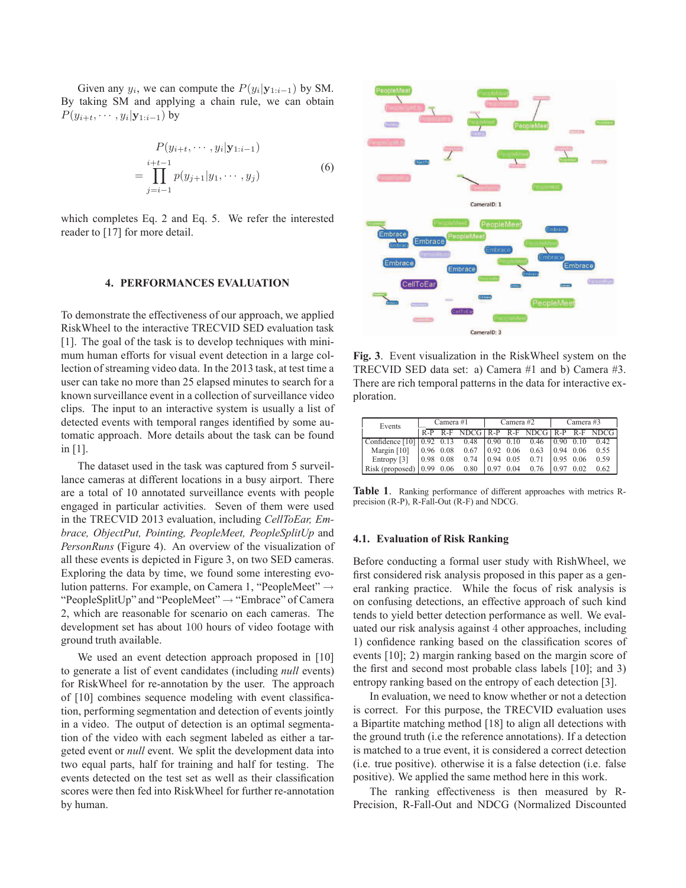Given any  $y_i$ , we can compute the  $P(y_i|\mathbf{y}_{1:i-1})$  by SM. By taking SM and applying a chain rule, we can obtain  $P(y_{i+t}, \cdots, y_i | \mathbf{y}_{1:i-1})$  by

$$
P(y_{i+t}, \dots, y_i | \mathbf{y}_{1:i-1})
$$
  
= 
$$
\prod_{j=i-1}^{i+t-1} p(y_{j+1} | y_1, \dots, y_j)
$$
 (6)

which completes Eq. 2 and Eq. 5. We refer the interested reader to [17] for more detail.

### **4. PERFORMANCES EVALUATION**

To demonstrate the effectiveness of our approach, we applied RiskWheel to the interactive TRECVID SED evaluation task [1]. The goal of the task is to develop techniques with minimum human efforts for visual event detection in a large collection of streaming video data. In the 2013 task, at test time a user can take no more than 25 elapsed minutes to search for a known surveillance event in a collection of surveillance video clips. The input to an interactive system is usually a list of detected events with temporal ranges identified by some automatic approach. More details about the task can be found in [1].

The dataset used in the task was captured from 5 surveillance cameras at different locations in a busy airport. There are a total of 10 annotated surveillance events with people engaged in particular activities. Seven of them were used in the TRECVID 2013 evaluation, including *CellToEar, Embrace, ObjectPut, Pointing, PeopleMeet, PeopleSplitUp* and *PersonRuns* (Figure 4). An overview of the visualization of all these events is depicted in Figure 3, on two SED cameras. Exploring the data by time, we found some interesting evolution patterns. For example, on Camera 1, "PeopleMeet" → "PeopleSplitUp" and "PeopleMeet"  $\rightarrow$  "Embrace" of Camera 2, which are reasonable for scenario on each cameras. The development set has about 100 hours of video footage with ground truth available.

We used an event detection approach proposed in [10] to generate a list of event candidates (including *null* events) for RiskWheel for re-annotation by the user. The approach of [10] combines sequence modeling with event classification, performing segmentation and detection of events jointly in a video. The output of detection is an optimal segmentation of the video with each segment labeled as either a targeted event or *null* event. We split the development data into two equal parts, half for training and half for testing. The events detected on the test set as well as their classification scores were then fed into RiskWheel for further re-annotation by human.



**Fig. 3**. Event visualization in the RiskWheel system on the TRECVID SED data set: a) Camera #1 and b) Camera #3. There are rich temporal patterns in the data for interactive exploration.

| Events                                                  | Camera #1 |  |                                        | Camera #2 |      |      | Camera #3   |      |      |
|---------------------------------------------------------|-----------|--|----------------------------------------|-----------|------|------|-------------|------|------|
|                                                         |           |  | R-P R-F NDCG R-P R-F NDCG R-P R-F NDCG |           |      |      |             |      |      |
| Confidence [10] 0.92 0.13 0.48 0.90 0.10 0.46 0.90 0.10 |           |  |                                        |           |      |      |             |      | 0.42 |
| Margin $[10]$                                           |           |  |                                        |           |      |      |             |      | 0.55 |
| Entropy [3]                                             | 0.98 0.08 |  | 0.74                                   | 0.94 0.05 |      | 0.71 | $0.95$ 0.06 |      | 0.59 |
| Risk (proposed) $0.99$ 0.06                             |           |  | 0.80                                   | 0.97      | 0.04 | 0.76 | 0.97        | 0.02 | 0.62 |

**Table 1**. Ranking performance of different approaches with metrics Rprecision (R-P), R-Fall-Out (R-F) and NDCG.

# **4.1. Evaluation of Risk Ranking**

Before conducting a formal user study with RishWheel, we first considered risk analysis proposed in this paper as a general ranking practice. While the focus of risk analysis is on confusing detections, an effective approach of such kind tends to yield better detection performance as well. We evaluated our risk analysis against 4 other approaches, including 1) confidence ranking based on the classification scores of events [10]; 2) margin ranking based on the margin score of the first and second most probable class labels [10]; and 3) entropy ranking based on the entropy of each detection [3].

In evaluation, we need to know whether or not a detection is correct. For this purpose, the TRECVID evaluation uses a Bipartite matching method [18] to align all detections with the ground truth (i.e the reference annotations). If a detection is matched to a true event, it is considered a correct detection (i.e. true positive). otherwise it is a false detection (i.e. false positive). We applied the same method here in this work.

The ranking effectiveness is then measured by R-Precision, R-Fall-Out and NDCG (Normalized Discounted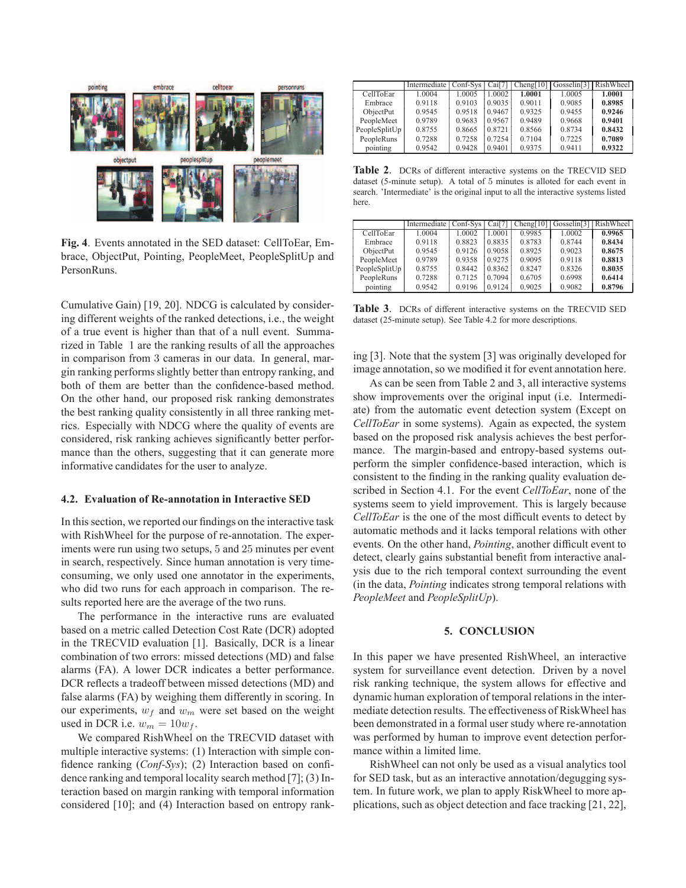

**Fig. 4**. Events annotated in the SED dataset: CellToEar, Embrace, ObjectPut, Pointing, PeopleMeet, PeopleSplitUp and PersonRuns.

Cumulative Gain) [19, 20]. NDCG is calculated by considering different weights of the ranked detections, i.e., the weight of a true event is higher than that of a null event. Summarized in Table 1 are the ranking results of all the approaches in comparison from 3 cameras in our data. In general, margin ranking performs slightly better than entropy ranking, and both of them are better than the confidence-based method. On the other hand, our proposed risk ranking demonstrates the best ranking quality consistently in all three ranking metrics. Especially with NDCG where the quality of events are considered, risk ranking achieves significantly better performance than the others, suggesting that it can generate more informative candidates for the user to analyze.

# **4.2. Evaluation of Re-annotation in Interactive SED**

In this section, we reported our findings on the interactive task with RishWheel for the purpose of re-annotation. The experiments were run using two setups, 5 and 25 minutes per event in search, respectively. Since human annotation is very timeconsuming, we only used one annotator in the experiments, who did two runs for each approach in comparison. The results reported here are the average of the two runs.

The performance in the interactive runs are evaluated based on a metric called Detection Cost Rate (DCR) adopted in the TRECVID evaluation [1]. Basically, DCR is a linear combination of two errors: missed detections (MD) and false alarms (FA). A lower DCR indicates a better performance. DCR reflects a tradeoff between missed detections (MD) and false alarms (FA) by weighing them differently in scoring. In our experiments,  $w_f$  and  $w_m$  were set based on the weight used in DCR i.e.  $w_m = 10w_f$ .

We compared RishWheel on the TRECVID dataset with multiple interactive systems: (1) Interaction with simple confidence ranking (*Conf-Sys*); (2) Interaction based on confidence ranking and temporal locality search method [7]; (3) Interaction based on margin ranking with temporal information considered [10]; and (4) Interaction based on entropy rank-

|               | Intermediate   Conf-Sys |        |        | $Cai[7]$ Cheng[10] | Gosselin <sup>[3]</sup> RishWheel |        |
|---------------|-------------------------|--------|--------|--------------------|-----------------------------------|--------|
| CellToEar     | 1.0004                  | 1.0005 | 1.0002 | 1.0001             | 1.0005                            | 1.0001 |
| Embrace       | 0.9118                  | 0.9103 | 0.9035 | 0.9011             | 0.9085                            | 0.8985 |
| ObjectPut     | 0.9545                  | 0.9518 | 0.9467 | 0.9325             | 0.9455                            | 0.9246 |
| PeopleMeet    | 0.9789                  | 0.9683 | 0.9567 | 0.9489             | 0.9668                            | 0.9401 |
| PeopleSplitUp | 0.8755                  | 0.8665 | 0.8721 | 0.8566             | 0.8734                            | 0.8432 |
| PeopleRuns    | 0.7288                  | 0.7258 | 0.7254 | 0.7104             | 0.7225                            | 0.7089 |
| pointing      | 0.9542                  | 0.9428 | 0.9401 | 0.9375             | 0.9411                            | 0.9322 |

**Table 2**. DCRs of different interactive systems on the TRECVID SED dataset (5-minute setup). A total of 5 minutes is alloted for each event in search. 'Intermediate' is the original input to all the interactive systems listed here.

|               | Intermediate   Conf-Sys |        |        |        | Cai <sup>[7]</sup> Cheng <sup>[10]</sup> Gosselin <sup>[3]</sup> RishWheel |        |
|---------------|-------------------------|--------|--------|--------|----------------------------------------------------------------------------|--------|
| CellToEar     | 1.0004                  | 1.0002 | 1.0001 | 0.9985 | 1.0002                                                                     | 0.9965 |
| Embrace       | 0.9118                  | 0.8823 | 0.8835 | 0.8783 | 0.8744                                                                     | 0.8434 |
| ObjectPut     | 0.9545                  | 0.9126 | 0.9058 | 0.8925 | 0.9023                                                                     | 0.8675 |
| PeopleMeet    | 0.9789                  | 0.9358 | 0.9275 | 0.9095 | 0.9118                                                                     | 0.8813 |
| PeopleSplitUp | 0.8755                  | 0.8442 | 0.8362 | 0.8247 | 0.8326                                                                     | 0.8035 |
| PeopleRuns    | 0.7288                  | 0.7125 | 0.7094 | 0.6705 | 0.6998                                                                     | 0.6414 |
| pointing      | 0.9542                  | 0.9196 | 0.9124 | 0.9025 | 0.9082                                                                     | 0.8796 |

**Table 3**. DCRs of different interactive systems on the TRECVID SED dataset (25-minute setup). See Table 4.2 for more descriptions.

ing [3]. Note that the system [3] was originally developed for image annotation, so we modified it for event annotation here.

As can be seen from Table 2 and 3, all interactive systems show improvements over the original input (i.e. Intermediate) from the automatic event detection system (Except on *CellToEar* in some systems). Again as expected, the system based on the proposed risk analysis achieves the best performance. The margin-based and entropy-based systems outperform the simpler confidence-based interaction, which is consistent to the finding in the ranking quality evaluation described in Section 4.1. For the event *CellToEar*, none of the systems seem to yield improvement. This is largely because *CellToEar* is the one of the most difficult events to detect by automatic methods and it lacks temporal relations with other events. On the other hand, *Pointing*, another difficult event to detect, clearly gains substantial benefit from interactive analysis due to the rich temporal context surrounding the event (in the data, *Pointing* indicates strong temporal relations with *PeopleMeet* and *PeopleSplitUp*).

#### **5. CONCLUSION**

In this paper we have presented RishWheel, an interactive system for surveillance event detection. Driven by a novel risk ranking technique, the system allows for effective and dynamic human exploration of temporal relations in the intermediate detection results. The effectiveness of RiskWheel has been demonstrated in a formal user study where re-annotation was performed by human to improve event detection performance within a limited lime.

RishWheel can not only be used as a visual analytics tool for SED task, but as an interactive annotation/degugging system. In future work, we plan to apply RiskWheel to more applications, such as object detection and face tracking [21, 22],